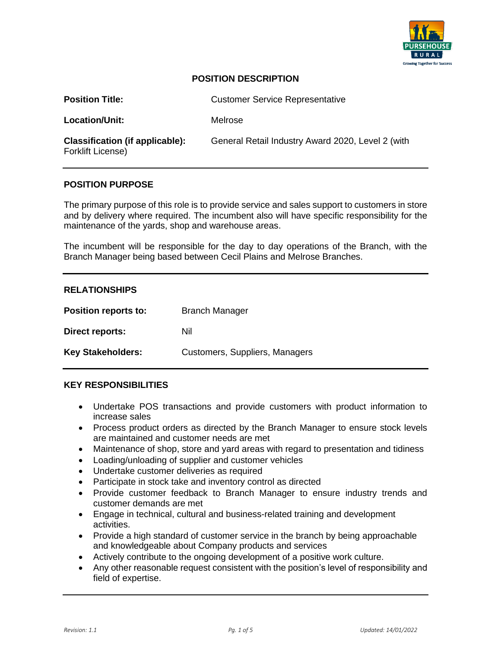

# **POSITION DESCRIPTION**

| <b>Position Title:</b>                                      | <b>Customer Service Representative</b>            |
|-------------------------------------------------------------|---------------------------------------------------|
| Location/Unit:                                              | Melrose                                           |
| <b>Classification (if applicable):</b><br>Forklift License) | General Retail Industry Award 2020, Level 2 (with |

#### **POSITION PURPOSE**

The primary purpose of this role is to provide service and sales support to customers in store and by delivery where required. The incumbent also will have specific responsibility for the maintenance of the yards, shop and warehouse areas.

The incumbent will be responsible for the day to day operations of the Branch, with the Branch Manager being based between Cecil Plains and Melrose Branches.

## **RELATIONSHIPS**

| <b>Position reports to:</b> | <b>Branch Manager</b>          |
|-----------------------------|--------------------------------|
| Direct reports:             | Nil                            |
| <b>Key Stakeholders:</b>    | Customers, Suppliers, Managers |

#### **KEY RESPONSIBILITIES**

- Undertake POS transactions and provide customers with product information to increase sales
- Process product orders as directed by the Branch Manager to ensure stock levels are maintained and customer needs are met
- Maintenance of shop, store and yard areas with regard to presentation and tidiness
- Loading/unloading of supplier and customer vehicles
- Undertake customer deliveries as required
- Participate in stock take and inventory control as directed
- Provide customer feedback to Branch Manager to ensure industry trends and customer demands are met
- Engage in technical, cultural and business-related training and development activities.
- Provide a high standard of customer service in the branch by being approachable and knowledgeable about Company products and services
- Actively contribute to the ongoing development of a positive work culture.
- Any other reasonable request consistent with the position's level of responsibility and field of expertise.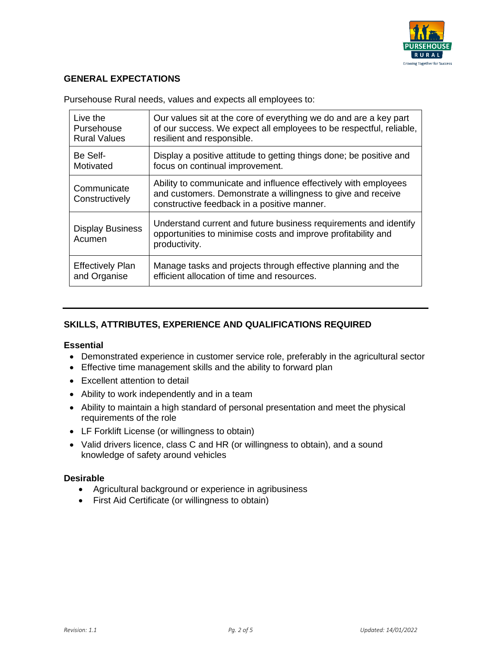

# **GENERAL EXPECTATIONS**

| Live the                          | Our values sit at the core of everything we do and are a key part                                                                                                              |
|-----------------------------------|--------------------------------------------------------------------------------------------------------------------------------------------------------------------------------|
| Pursehouse                        | of our success. We expect all employees to be respectful, reliable,                                                                                                            |
| <b>Rural Values</b>               | resilient and responsible.                                                                                                                                                     |
| Be Self-                          | Display a positive attitude to getting things done; be positive and                                                                                                            |
| Motivated                         | focus on continual improvement.                                                                                                                                                |
| Communicate<br>Constructively     | Ability to communicate and influence effectively with employees<br>and customers. Demonstrate a willingness to give and receive<br>constructive feedback in a positive manner. |
| <b>Display Business</b><br>Acumen | Understand current and future business requirements and identify<br>opportunities to minimise costs and improve profitability and<br>productivity.                             |
| <b>Effectively Plan</b>           | Manage tasks and projects through effective planning and the                                                                                                                   |
| and Organise                      | efficient allocation of time and resources.                                                                                                                                    |

Pursehouse Rural needs, values and expects all employees to:

# **SKILLS, ATTRIBUTES, EXPERIENCE AND QUALIFICATIONS REQUIRED**

#### **Essential**

- Demonstrated experience in customer service role, preferably in the agricultural sector
- Effective time management skills and the ability to forward plan
- Excellent attention to detail
- Ability to work independently and in a team
- Ability to maintain a high standard of personal presentation and meet the physical requirements of the role
- LF Forklift License (or willingness to obtain)
- Valid drivers licence, class C and HR (or willingness to obtain), and a sound knowledge of safety around vehicles

#### **Desirable**

- Agricultural background or experience in agribusiness
- First Aid Certificate (or willingness to obtain)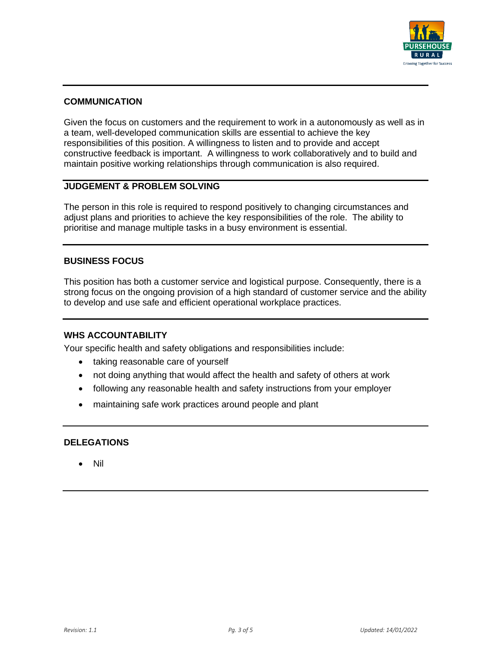

## **COMMUNICATION**

Given the focus on customers and the requirement to work in a autonomously as well as in a team, well-developed communication skills are essential to achieve the key responsibilities of this position. A willingness to listen and to provide and accept constructive feedback is important. A willingness to work collaboratively and to build and maintain positive working relationships through communication is also required.

# **JUDGEMENT & PROBLEM SOLVING**

The person in this role is required to respond positively to changing circumstances and adjust plans and priorities to achieve the key responsibilities of the role. The ability to prioritise and manage multiple tasks in a busy environment is essential.

## **BUSINESS FOCUS**

This position has both a customer service and logistical purpose. Consequently, there is a strong focus on the ongoing provision of a high standard of customer service and the ability to develop and use safe and efficient operational workplace practices.

#### **WHS ACCOUNTABILITY**

Your specific health and safety obligations and responsibilities include:

- taking reasonable care of yourself
- not doing anything that would affect the health and safety of others at work
- following any reasonable health and safety instructions from your employer
- maintaining safe work practices around people and plant

#### **DELEGATIONS**

• Nil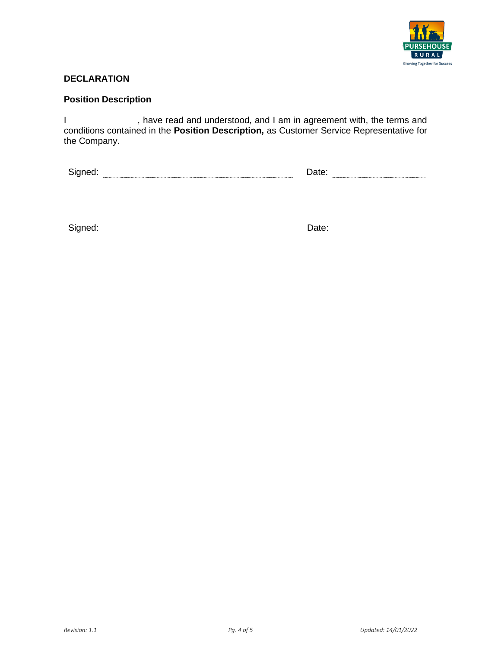

# **DECLARATION**

# **Position Description**

I status, have read and understood, and I am in agreement with, the terms and conditions contained in the **Position Description,** as Customer Service Representative for the Company.

| Signed: |  | Date: |  |
|---------|--|-------|--|
|         |  |       |  |
|         |  |       |  |
|         |  |       |  |
|         |  |       |  |

| Sianed<br>- - |                       | _____ |  |
|---------------|-----------------------|-------|--|
|               | *****************<br> |       |  |